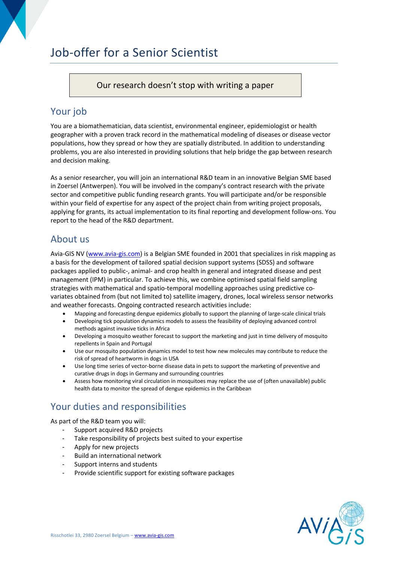# Job-offer for a Senior Scientist

Our research doesn't stop with writing a paper

## Your job

You are a biomathematician, data scientist, environmental engineer, epidemiologist or health geographer with a proven track record in the mathematical modeling of diseases or disease vector populations, how they spread or how they are spatially distributed. In addition to understanding problems, you are also interested in providing solutions that help bridge the gap between research and decision making.

As a senior researcher, you will join an international R&D team in an innovative Belgian SME based in Zoersel (Antwerpen). You will be involved in the company's contract research with the private sector and competitive public funding research grants. You will participate and/or be responsible within your field of expertise for any aspect of the project chain from writing project proposals, applying for grants, its actual implementation to its final reporting and development follow-ons. You report to the head of the R&D department.

### About us

Avia-GIS NV (www.avia-gis.com) is a Belgian SME founded in 2001 that specializes in risk mapping as a basis for the development of tailored spatial decision support systems (SDSS) and software packages applied to public-, animal- and crop health in general and integrated disease and pest management (IPM) in particular. To achieve this, we combine optimised spatial field sampling strategies with mathematical and spatio-temporal modelling approaches using predictive covariates obtained from (but not limited to) satellite imagery, drones, local wireless sensor networks and weather forecasts. Ongoing contracted research activities include:

- Mapping and forecasting dengue epidemics globally to support the planning of large-scale clinical trials
- Developing tick population dynamics models to assess the feasibility of deploying advanced control methods against invasive ticks in Africa
- Developing a mosquito weather forecast to support the marketing and just in time delivery of mosquito repellents in Spain and Portugal
- Use our mosquito population dynamics model to test how new molecules may contribute to reduce the risk of spread of heartworm in dogs in USA
- Use long time series of vector-borne disease data in pets to support the marketing of preventive and curative drugs in dogs in Germany and surrounding countries
- Assess how monitoring viral circulation in mosquitoes may replace the use of (often unavailable) public health data to monitor the spread of dengue epidemics in the Caribbean

# Your duties and responsibilities

As part of the R&D team you will:

- Support acquired R&D projects
- Take responsibility of projects best suited to your expertise
- Apply for new projects
- Build an international network
- Support interns and students
- Provide scientific support for existing software packages